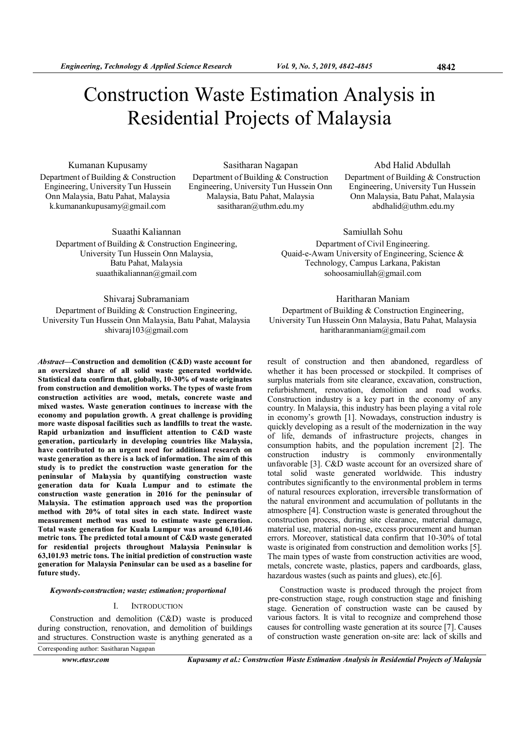# Construction Waste Estimation Analysis in Residential Projects of Malaysia

Kumanan Kupusamy Department of Building & Construction Engineering, University Tun Hussein Onn Malaysia, Batu Pahat, Malaysia k.kumanankupusamy@gmail.com

Sasitharan Nagapan Department of Building & Construction Engineering, University Tun Hussein Onn Malaysia, Batu Pahat, Malaysia sasitharan@uthm.edu.my

Abd Halid Abdullah

Department of Building & Construction Engineering, University Tun Hussein Onn Malaysia, Batu Pahat, Malaysia abdhalid@uthm.edu.my

Suaathi Kaliannan Department of Building & Construction Engineering, University Tun Hussein Onn Malaysia, Batu Pahat, Malaysia suaathikaliannan@gmail.com

Shivaraj Subramaniam Department of Building & Construction Engineering, University Tun Hussein Onn Malaysia, Batu Pahat, Malaysia shivaraj103@gmail.com

Abstract—Construction and demolition (C&D) waste account for an oversized share of all solid waste generated worldwide. Statistical data confirm that, globally, 10-30% of waste originates from construction and demolition works. The types of waste from construction activities are wood, metals, concrete waste and mixed wastes. Waste generation continues to increase with the economy and population growth. A great challenge is providing more waste disposal facilities such as landfills to treat the waste. Rapid urbanization and insufficient attention to C&D waste generation, particularly in developing countries like Malaysia, have contributed to an urgent need for additional research on waste generation as there is a lack of information. The aim of this study is to predict the construction waste generation for the peninsular of Malaysia by quantifying construction waste generation data for Kuala Lumpur and to estimate the construction waste generation in 2016 for the peninsular of Malaysia. The estimation approach used was the proportion method with 20% of total sites in each state. Indirect waste measurement method was used to estimate waste generation. Total waste generation for Kuala Lumpur was around 6,101.46 metric tons. The predicted total amount of C&D waste generated for residential projects throughout Malaysia Peninsular is 63,101.93 metric tons. The initial prediction of construction waste generation for Malaysia Peninsular can be used as a baseline for future study.

Keywords-construction; waste; estimation; proportional

## I. INTRODUCTION

Construction and demolition (C&D) waste is produced during construction, renovation, and demolition of buildings and structures. Construction waste is anything generated as a

Corresponding author: Sasitharan Nagapan

www.etasr.com Kupusamy et al.: Construction Waste Estimation Analysis in Residential Projects of Malaysia

sohoosamiullah@gmail.com Haritharan Maniam Department of Building & Construction Engineering, University Tun Hussein Onn Malaysia, Batu Pahat, Malaysia

haritharanmaniam@gmail.com

Samiullah Sohu Department of Civil Engineering. Quaid-e-Awam University of Engineering, Science & Technology, Campus Larkana, Pakistan

result of construction and then abandoned, regardless of whether it has been processed or stockpiled. It comprises of surplus materials from site clearance, excavation, construction, refurbishment, renovation, demolition and road works. Construction industry is a key part in the economy of any country. In Malaysia, this industry has been playing a vital role in economy's growth [1]. Nowadays, construction industry is quickly developing as a result of the modernization in the way of life, demands of infrastructure projects, changes in consumption habits, and the population increment [2]. The construction industry is commonly environmentally unfavorable [3]. C&D waste account for an oversized share of total solid waste generated worldwide. This industry contributes significantly to the environmental problem in terms of natural resources exploration, irreversible transformation of the natural environment and accumulation of pollutants in the atmosphere [4]. Construction waste is generated throughout the construction process, during site clearance, material damage, material use, material non-use, excess procurement and human errors. Moreover, statistical data confirm that 10-30% of total waste is originated from construction and demolition works [5]. The main types of waste from construction activities are wood, metals, concrete waste, plastics, papers and cardboards, glass, hazardous wastes (such as paints and glues), etc.[6].

Construction waste is produced through the project from pre-construction stage, rough construction stage and finishing stage. Generation of construction waste can be caused by various factors. It is vital to recognize and comprehend those causes for controlling waste generation at its source [7]. Causes of construction waste generation on-site are: lack of skills and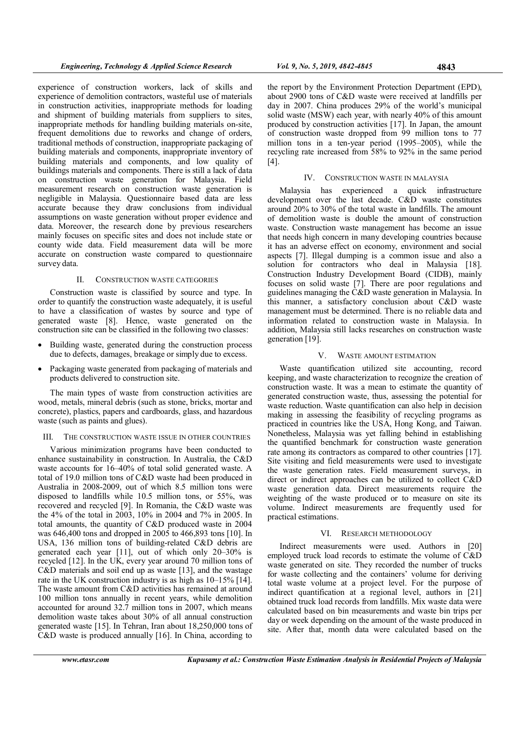experience of construction workers, lack of skills and experience of demolition contractors, wasteful use of materials in construction activities, inappropriate methods for loading and shipment of building materials from suppliers to sites, inappropriate methods for handling building materials on-site, frequent demolitions due to reworks and change of orders, traditional methods of construction, inappropriate packaging of building materials and components, inappropriate inventory of building materials and components, and low quality of buildings materials and components. There is still a lack of data on construction waste generation for Malaysia. Field measurement research on construction waste generation is negligible in Malaysia. Questionnaire based data are less accurate because they draw conclusions from individual assumptions on waste generation without proper evidence and data. Moreover, the research done by previous researchers mainly focuses on specific sites and does not include state or county wide data. Field measurement data will be more accurate on construction waste compared to questionnaire survey data.

## II. CONSTRUCTION WASTE CATEGORIES

Construction waste is classified by source and type. In order to quantify the construction waste adequately, it is useful to have a classification of wastes by source and type of generated waste [8]. Hence, waste generated on the construction site can be classified in the following two classes:

- Building waste, generated during the construction process due to defects, damages, breakage or simply due to excess.
- Packaging waste generated from packaging of materials and products delivered to construction site.

The main types of waste from construction activities are wood, metals, mineral debris (such as stone, bricks, mortar and concrete), plastics, papers and cardboards, glass, and hazardous waste (such as paints and glues).

## III. THE CONSTRUCTION WASTE ISSUE IN OTHER COUNTRIES

Various minimization programs have been conducted to enhance sustainability in construction. In Australia, the C&D waste accounts for 16–40% of total solid generated waste. A total of 19.0 million tons of C&D waste had been produced in Australia in 2008-2009, out of which 8.5 million tons were disposed to landfills while 10.5 million tons, or 55%, was recovered and recycled [9]. In Romania, the C&D waste was the 4% of the total in 2003, 10% in 2004 and 7% in 2005. In total amounts, the quantity of C&D produced waste in 2004 was 646,400 tons and dropped in 2005 to 466,893 tons [10]. In USA, 136 million tons of building-related C&D debris are generated each year [11], out of which only 20–30% is recycled [12]. In the UK, every year around 70 million tons of C&D materials and soil end up as waste [13], and the wastage rate in the UK construction industry is as high as 10–15% [14]. The waste amount from C&D activities has remained at around 100 million tons annually in recent years, while demolition accounted for around 32.7 million tons in 2007, which means demolition waste takes about 30% of all annual construction generated waste [15]. In Tehran, Iran about 18,250,000 tons of C&D waste is produced annually [16]. In China, according to

the report by the Environment Protection Department (EPD), about 2900 tons of C&D waste were received at landfills per day in 2007. China produces 29% of the world's municipal solid waste (MSW) each year, with nearly 40% of this amount produced by construction activities [17]. In Japan, the amount of construction waste dropped from 99 million tons to 77 million tons in a ten-year period (1995–2005), while the recycling rate increased from 58% to 92% in the same period [4].

#### IV. CONSTRUCTION WASTE IN MALAYSIA

Malaysia has experienced a quick infrastructure development over the last decade. C&D waste constitutes around 20% to 30% of the total waste in landfills. The amount of demolition waste is double the amount of construction waste. Construction waste management has become an issue that needs high concern in many developing countries because it has an adverse effect on economy, environment and social aspects [7]. Illegal dumping is a common issue and also a solution for contractors who deal in Malaysia [18]. Construction Industry Development Board (CIDB), mainly focuses on solid waste [7]. There are poor regulations and guidelines managing the C&D waste generation in Malaysia. In this manner, a satisfactory conclusion about C&D waste management must be determined. There is no reliable data and information related to construction waste in Malaysia. In addition, Malaysia still lacks researches on construction waste generation [19].

#### V. WASTE AMOUNT ESTIMATION

Waste quantification utilized site accounting, record keeping, and waste characterization to recognize the creation of construction waste. It was a mean to estimate the quantity of generated construction waste, thus, assessing the potential for waste reduction. Waste quantification can also help in decision making in assessing the feasibility of recycling programs as practiced in countries like the USA, Hong Kong, and Taiwan. Nonetheless, Malaysia was yet falling behind in establishing the quantified benchmark for construction waste generation rate among its contractors as compared to other countries [17]. Site visiting and field measurements were used to investigate the waste generation rates. Field measurement surveys, in direct or indirect approaches can be utilized to collect C&D waste generation data. Direct measurements require the weighting of the waste produced or to measure on site its volume. Indirect measurements are frequently used for practical estimations.

#### VI. RESEARCH METHODOLOGY

Indirect measurements were used. Authors in [20] employed truck load records to estimate the volume of C&D waste generated on site. They recorded the number of trucks for waste collecting and the containers' volume for deriving total waste volume at a project level. For the purpose of indirect quantification at a regional level, authors in [21] obtained truck load records from landfills. Mix waste data were calculated based on bin measurements and waste bin trips per day or week depending on the amount of the waste produced in site. After that, month data were calculated based on the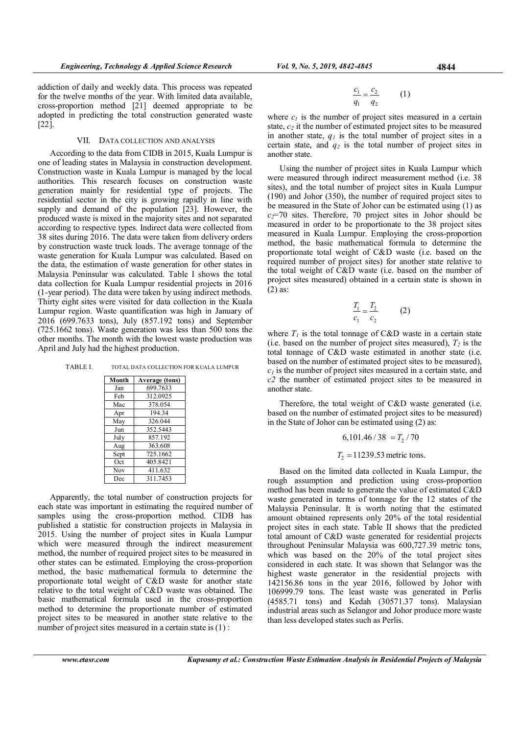addiction of daily and weekly data. This process was repeated for the twelve months of the year. With limited data available, cross-proportion method [21] deemed appropriate to be adopted in predicting the total construction generated waste [22].

## VII. DATA COLLECTION AND ANALYSIS

According to the data from CIDB in 2015, Kuala Lumpur is one of leading states in Malaysia in construction development. Construction waste in Kuala Lumpur is managed by the local authorities. This research focuses on construction waste generation mainly for residential type of projects. The residential sector in the city is growing rapidly in line with supply and demand of the population [23]. However, the produced waste is mixed in the majority sites and not separated according to respective types. Indirect data were collected from 38 sites during 2016. The data were taken from delivery orders by construction waste truck loads. The average tonnage of the waste generation for Kuala Lumpur was calculated. Based on the data, the estimation of waste generation for other states in Malaysia Peninsular was calculated. Table I shows the total data collection for Kuala Lumpur residential projects in 2016 (1-year period). The data were taken by using indirect methods. Thirty eight sites were visited for data collection in the Kuala Lumpur region. Waste quantification was high in January of 2016 (699.7633 tons), July (857.192 tons) and September (725.1662 tons). Waste generation was less than 500 tons the other months. The month with the lowest waste production was April and July had the highest production.

| TABLE L | TOTAL DATA COLLECTION FOR KUALA LUMPUR |
|---------|----------------------------------------|
|---------|----------------------------------------|

| Month | <b>Average (tons)</b> |
|-------|-----------------------|
| Jan   | 699.7633              |
| Feb   | 312.0925              |
| Mac   | 378.054               |
| Apr   | 194.34                |
| May   | 326.044               |
| Jun   | 352.5443              |
| July  | 857.192               |
| Aug   | 363.608               |
| Sept  | 725.1662              |
| Oct   | 405.8421              |
| Nov   | 411.632               |
| Dec   | 311.7453              |

Apparently, the total number of construction projects for each state was important in estimating the required number of samples using the cross-proportion method. CIDB has published a statistic for construction projects in Malaysia in 2015. Using the number of project sites in Kuala Lumpur which were measured through the indirect measurement method, the number of required project sites to be measured in other states can be estimated. Employing the cross-proportion method, the basic mathematical formula to determine the proportionate total weight of C&D waste for another state relative to the total weight of C&D waste was obtained. The basic mathematical formula used in the cross-proportion method to determine the proportionate number of estimated project sites to be measured in another state relative to the number of project sites measured in a certain state is (1):

$$
\frac{c_1}{q_1} = \frac{c_2}{q_2} \qquad (1)
$$

where  $c_1$  is the number of project sites measured in a certain state,  $c_2$  it the number of estimated project sites to be measured in another state,  $q_l$  is the total number of project sites in a certain state, and  $q_2$  is the total number of project sites in another state.

Using the number of project sites in Kuala Lumpur which were measured through indirect measurement method (i.e. 38 sites), and the total number of project sites in Kuala Lumpur (190) and Johor (350), the number of required project sites to be measured in the State of Johor can be estimated using (1) as  $c_2$ =70 sites. Therefore, 70 project sites in Johor should be measured in order to be proportionate to the 38 project sites measured in Kuala Lumpur. Employing the cross-proportion method, the basic mathematical formula to determine the proportionate total weight of C&D waste (i.e. based on the required number of project sites) for another state relative to the total weight of C&D waste (i.e. based on the number of project sites measured) obtained in a certain state is shown in (2) as:

$$
\frac{T_1}{c_1} = \frac{T_2}{c_2} \tag{2}
$$

where  $T_1$  is the total tonnage of C&D waste in a certain state (i.e. based on the number of project sites measured),  $T_2$  is the total tonnage of C&D waste estimated in another state (i.e. based on the number of estimated project sites to be measured),  $c<sub>1</sub>$  is the number of project sites measured in a certain state, and  $c<sub>2</sub>$  the number of estimated project sites to be measured in another state.

Therefore, the total weight of C&D waste generated (i.e. based on the number of estimated project sites to be measured) in the State of Johor can be estimated using (2) as:

$$
6{,}101.46/\sqrt{38}\ = T_2/\sqrt{70}
$$

 $T<sub>2</sub> = 11239.53$  metric tons.

Based on the limited data collected in Kuala Lumpur, the rough assumption and prediction using cross-proportion method has been made to generate the value of estimated C&D waste generated in terms of tonnage for the 12 states of the Malaysia Peninsular. It is worth noting that the estimated amount obtained represents only 20% of the total residential project sites in each state. Table II shows that the predicted total amount of C&D waste generated for residential projects throughout Peninsular Malaysia was 600,727.39 metric tons, which was based on the 20% of the total project sites considered in each state. It was shown that Selangor was the highest waste generator in the residential projects with 142156.86 tons in the year 2016, followed by Johor with 106999.79 tons. The least waste was generated in Perlis (4585.71 tons) and Kedah (30571.37 tons). Malaysian industrial areas such as Selangor and Johor produce more waste than less developed states such as Perlis.